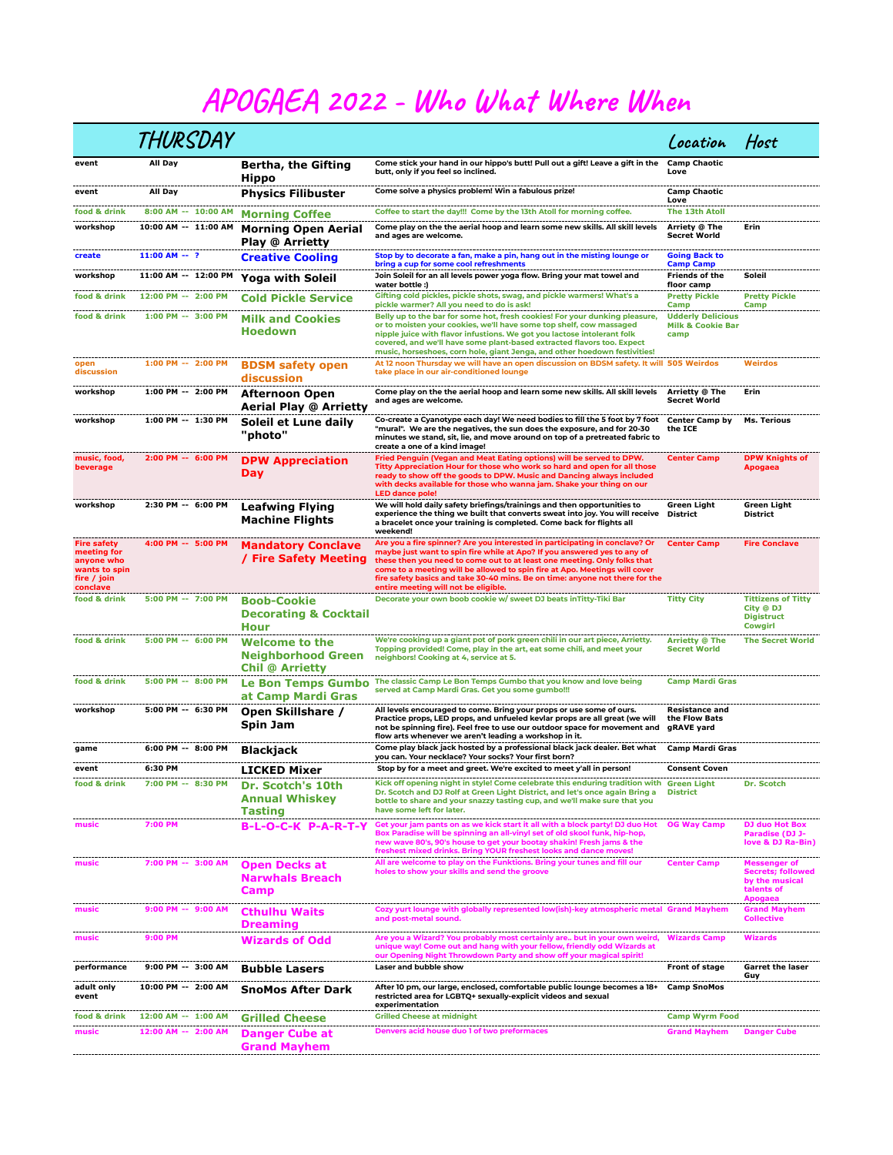## APOGAEA 2022 - Who What Where When

|                                                                                             | THURSDAY             |                                                                              |                                                                                                                                                                                                                                                                                                                                                                                                                                           | Location                                                         | Host                                                                                       |
|---------------------------------------------------------------------------------------------|----------------------|------------------------------------------------------------------------------|-------------------------------------------------------------------------------------------------------------------------------------------------------------------------------------------------------------------------------------------------------------------------------------------------------------------------------------------------------------------------------------------------------------------------------------------|------------------------------------------------------------------|--------------------------------------------------------------------------------------------|
| event                                                                                       | All Day              | Bertha, the Gifting<br>Hippo                                                 | Come stick your hand in our hippo's butt! Pull out a gift! Leave a gift in the<br>butt, only if you feel so inclined.                                                                                                                                                                                                                                                                                                                     | <b>Camp Chaotic</b><br>Love                                      |                                                                                            |
| event                                                                                       | All Day              | <b>Physics Filibuster</b>                                                    | Come solve a physics problem! Win a fabulous prize!                                                                                                                                                                                                                                                                                                                                                                                       | <b>Camp Chaotic</b><br>Love                                      |                                                                                            |
| food & drink                                                                                | 8:00 AM -- 10:00 AM  | <b>Morning Coffee</b>                                                        | Coffee to start the day!!! Come by the 13th Atoll for morning coffee.                                                                                                                                                                                                                                                                                                                                                                     | The 13th Atoll                                                   |                                                                                            |
| workshop                                                                                    | 10:00 AM -- 11:00 AM | <b>Morning Open Aerial</b><br><b>Play @ Arrietty</b>                         | Come play on the the aerial hoop and learn some new skills. All skill levels<br>and ages are welcome.                                                                                                                                                                                                                                                                                                                                     | Arriety @ The<br><b>Secret World</b>                             | <b>Erin</b>                                                                                |
| create                                                                                      | $11:00 AM - ?$       | <b>Creative Cooling</b>                                                      | Stop by to decorate a fan, make a pin, hang out in the misting lounge or<br>bring a cup for some cool refreshments                                                                                                                                                                                                                                                                                                                        | <b>Going Back to</b><br><b>Camp Camp</b>                         |                                                                                            |
| workshop                                                                                    | 11:00 AM -- 12:00 PM | <b>Yoga with Soleil</b>                                                      | Join Soleil for an all levels power yoga flow. Bring your mat towel and<br>water bottle:)                                                                                                                                                                                                                                                                                                                                                 | <b>Friends of the</b><br>floor camp                              | Soleil                                                                                     |
| food & drink                                                                                | 12:00 PM -- 2:00 PM  | <b>Cold Pickle Service</b>                                                   | Gifting cold pickles, pickle shots, swag, and pickle warmers! What's a<br>pickle warmer? All you need to do is ask!                                                                                                                                                                                                                                                                                                                       | <b>Pretty Pickle</b><br>Camp                                     | <b>Pretty Pickle</b><br>Camp                                                               |
| food & drink                                                                                | 1:00 PM -- 3:00 PM   | <b>Milk and Cookies</b><br><b>Hoedown</b>                                    | Belly up to the bar for some hot, fresh cookies! For your dunking pleasure,<br>or to moisten your cookies, we'll have some top shelf, cow massaged<br>nipple juice with flavor infustions. We got you lactose intolerant folk<br>covered, and we'll have some plant-based extracted flavors too. Expect<br>music, horseshoes, corn hole, giant Jenga, and other hoedown festivities!                                                      | <b>Udderly Delicious</b><br><b>Milk &amp; Cookie Bar</b><br>camp |                                                                                            |
| open<br>discussion                                                                          | 1:00 PM -- 2:00 PM   | <b>BDSM safety open</b><br>discussion                                        | At 12 noon Thursday we will have an open discussion on BDSM safety. It will 505 Weirdos<br>take place in our air-conditioned lounge                                                                                                                                                                                                                                                                                                       |                                                                  | <b>Weirdos</b>                                                                             |
| workshop                                                                                    | 1:00 PM -- 2:00 PM   | <b>Afternoon Open</b><br>Aerial Play @ Arrietty                              | Come play on the the aerial hoop and learn some new skills. All skill levels<br>and ages are welcome.                                                                                                                                                                                                                                                                                                                                     | Arrietty @ The<br><b>Secret World</b>                            | Erin                                                                                       |
| workshop                                                                                    | 1:00 PM -- 1:30 PM   | Soleil et Lune daily<br>"photo"                                              | Co-create a Cyanotype each day! We need bodies to fill the 5 foot by 7 foot<br>"mural". We are the negatives, the sun does the exposure, and for 20-30<br>minutes we stand, sit, lie, and move around on top of a pretreated fabric to<br>create a one of a kind image!                                                                                                                                                                   | <b>Center Camp by</b><br>the ICE                                 | <b>Ms. Terious</b>                                                                         |
| music, food,<br>beverage                                                                    | 2:00 PM -- 6:00 PM   | <b>DPW Appreciation</b><br>Day                                               | Fried Penguin (Vegan and Meat Eating options) will be served to DPW.<br>Titty Appreciation Hour for those who work so hard and open for all those<br>ready to show off the goods to DPW. Music and Dancing always included<br>with decks available for those who wanna jam. Shake your thing on our<br><b>LED dance pole!</b>                                                                                                             | <b>Center Camp</b>                                               | <b>DPW Knights of</b><br><b>Apogaea</b>                                                    |
| workshop                                                                                    | 2:30 PM -- 6:00 PM   | <b>Leafwing Flying</b><br><b>Machine Flights</b>                             | We will hold daily safety briefings/trainings and then opportunities to<br>experience the thing we built that converts sweat into joy. You will receive<br>a bracelet once your training is completed. Come back for flights all<br>weekend!                                                                                                                                                                                              | Green Light<br><b>District</b>                                   | Green Light<br><b>District</b>                                                             |
| <b>Fire safety</b><br>meeting for<br>anyone who<br>wants to spin<br>fire / join<br>conclave | 4:00 PM -- 5:00 PM   | <b>Mandatory Conclave</b><br>/ Fire Safety Meeting                           | Are you a fire spinner? Are you interested in participating in conclave? Or<br>maybe just want to spin fire while at Apo? If you answered yes to any of<br>these then you need to come out to at least one meeting. Only folks that<br>come to a meeting will be allowed to spin fire at Apo. Meetings will cover<br>fire safety basics and take 30-40 mins. Be on time: anyone not there for the<br>entire meeting will not be eligible. | <b>Center Camp</b>                                               | <b>Fire Conclave</b>                                                                       |
| food & drink                                                                                | 5:00 PM -- 7:00 PM   | <b>Boob-Cookie</b><br><b>Decorating &amp; Cocktail</b><br>Hour               | Decorate your own boob cookie w/ sweet DJ beats inTitty-Tiki Bar                                                                                                                                                                                                                                                                                                                                                                          | <b>Titty City</b>                                                | <b>Tittizens of Titty</b><br>City @ DJ<br><b>Digistruct</b><br>Cowgirl                     |
| food & drink                                                                                | 5:00 PM -- 6:00 PM   | <b>Welcome to the</b><br><b>Neighborhood Green</b><br><b>Chil @ Arrietty</b> | We're cooking up a giant pot of pork green chili in our art piece, Arrietty.<br>Topping provided! Come, play in the art, eat some chili, and meet your<br>neighbors! Cooking at 4, service at 5.                                                                                                                                                                                                                                          | <b>Arrietty @ The</b><br><b>Secret World</b>                     | <b>The Secret World</b>                                                                    |
| food & drink                                                                                | 5:00 PM -- 8:00 PM   | <b>Le Bon Temps Gumbo</b><br>at Camp Mardi Gras                              | The classic Camp Le Bon Temps Gumbo that you know and love being<br>served at Camp Mardi Gras. Get you some gumbo!!!                                                                                                                                                                                                                                                                                                                      | <b>Camp Mardi Gras</b>                                           |                                                                                            |
| workshop                                                                                    | 5:00 PM -- 6:30 PM   | Open Skillshare /<br>Spin Jam                                                | All levels encouraged to come. Bring your props or use some of ours.<br>Practice props, LED props, and unfueled kevlar props are all great (we will<br>not be spinning fire). Feel free to use our outdoor space for movement and<br>flow arts whenever we aren't leading a workshop in it.                                                                                                                                               | <b>Resistance and</b><br>the Flow Bats<br>gRAVE yard             |                                                                                            |
| game                                                                                        | 6:00 PM -- 8:00 PM   | Blackjack                                                                    | Come play black jack hosted by a professional black jack dealer. Bet what<br>you can. Your necklace? Your socks? Your first born?                                                                                                                                                                                                                                                                                                         | Camp Mardi Gras                                                  |                                                                                            |
| event                                                                                       | 6:30 PM              | <b>LICKED Mixer</b>                                                          | Stop by for a meet and greet. We're excited to meet y'all in person!                                                                                                                                                                                                                                                                                                                                                                      | <b>Consent Coven</b>                                             |                                                                                            |
| food & drink                                                                                | 7:00 PM -- 8:30 PM   | Dr. Scotch's 10th<br><b>Annual Whiskey</b><br>Tasting                        | Kick off opening night in style! Come celebrate this enduring tradition with Green Light<br>Dr. Scotch and DJ Rolf at Green Light District, and let's once again Bring a District<br>bottle to share and your snazzy tasting cup, and we'll make sure that you<br>have some left for later.                                                                                                                                               |                                                                  | Dr. Scotch                                                                                 |
| music                                                                                       | 7:00 PM              | B-L-O-C-K P-A-R-T-Y                                                          | Get your jam pants on as we kick start it all with a block party! DJ duo Hot<br>Box Paradise will be spinning an all-vinyl set of old skool funk, hip-hop,<br>new wave 80's, 90's house to get your bootay shakin! Fresh jams & the<br>freshest mixed drinks. Bring YOUR freshest looks and dance moves!                                                                                                                                  | <b>OG Way Camp</b>                                               | DJ duo Hot Box<br>Paradise (DJ J-<br>love & DJ Ra-Bin)                                     |
| music                                                                                       | 7:00 PM -- 3:00 AM   | <b>Open Decks at</b><br><b>Narwhals Breach</b><br>Camp                       | All are welcome to play on the Funktions. Bring your tunes and fill our<br>holes to show your skills and send the groove                                                                                                                                                                                                                                                                                                                  | <b>Center Camp</b>                                               | <b>Messenger of</b><br><b>Secrets; followed</b><br>by the musical<br>talents of<br>Apogaea |
| music                                                                                       | 9:00 PM -- 9:00 AM   | <b>Cthulhu Waits</b><br><b>Dreaming</b>                                      | Cozy yurt lounge with globally represented low(ish)-key atmospheric metal Grand Mayhem<br>and post-metal sound.                                                                                                                                                                                                                                                                                                                           |                                                                  | <b>Grand Mayhem</b><br><b>Collective</b>                                                   |
| music                                                                                       | 9:00 PM              | <b>Wizards of Odd</b>                                                        | Are you a Wizard? You probably most certainly are but in your own weird,<br>unique way! Come out and hang with your fellow, friendly odd Wizards at<br>our Opening Night Throwdown Party and show off your magical spirit!                                                                                                                                                                                                                | <b>Wizards Camp</b>                                              | <b>Wizards</b>                                                                             |
| performance                                                                                 | 9:00 PM -- 3:00 AM   | <b>Bubble Lasers</b>                                                         | Laser and bubble show                                                                                                                                                                                                                                                                                                                                                                                                                     | Front of stage                                                   | <b>Garret the laser</b><br>Guy                                                             |
| adult only<br>event                                                                         | 10:00 PM -- 2:00 AM  | <b>SnoMos After Dark</b>                                                     | After 10 pm, our large, enclosed, comfortable public lounge becomes a 18+<br>restricted area for LGBTQ+ sexually-explicit videos and sexual<br>experimentation                                                                                                                                                                                                                                                                            | <b>Camp SnoMos</b>                                               |                                                                                            |
| food & drink                                                                                | 12:00 AM -- 1:00 AM  | <b>Grilled Cheese</b>                                                        | <b>Grilled Cheese at midnight</b>                                                                                                                                                                                                                                                                                                                                                                                                         | <b>Camp Wyrm Food</b>                                            |                                                                                            |
| music                                                                                       | 12:00 AM -- 2:00 AM  | <b>Danger Cube at</b><br><b>Grand Mayhem</b>                                 | Denvers acid house duo 1 of two preformaces                                                                                                                                                                                                                                                                                                                                                                                               | <b>Grand Mayhem</b>                                              | <b>Danger Cube</b>                                                                         |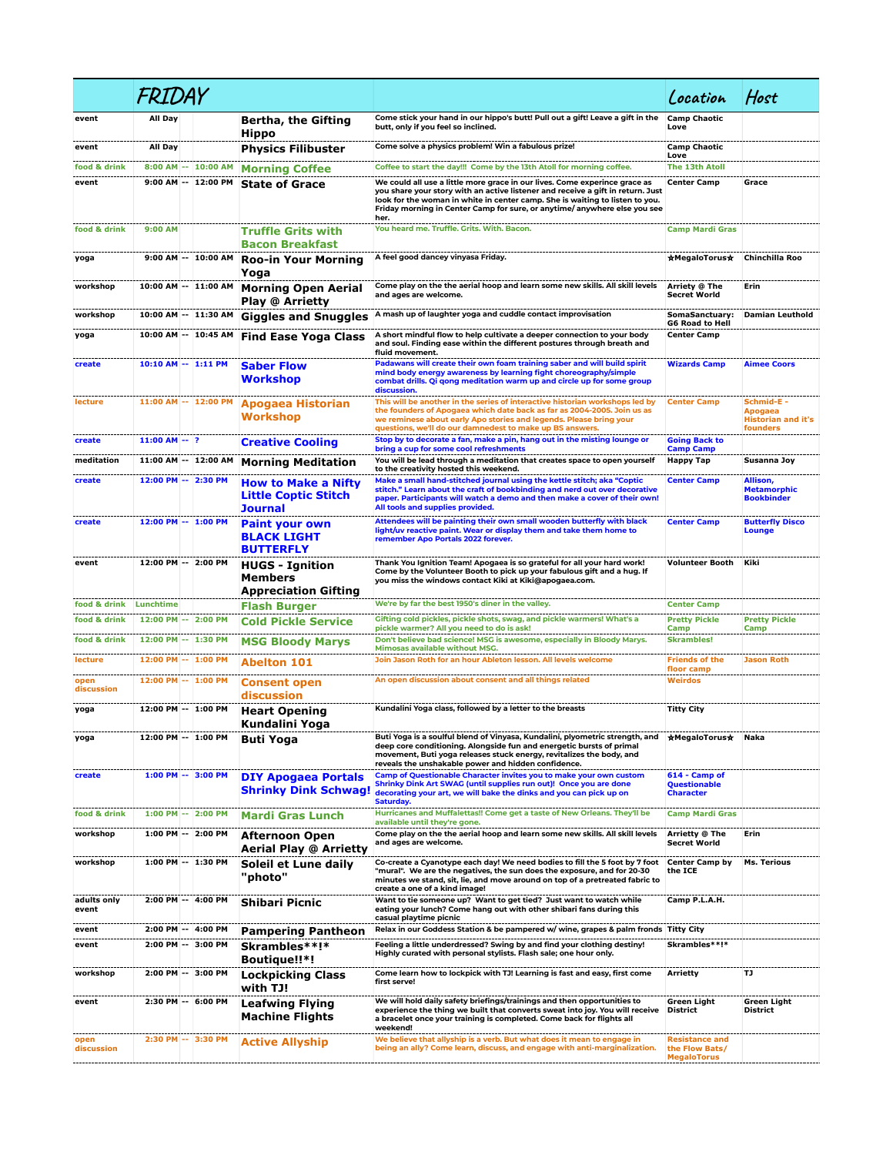|                              | FRIDAY                                     |                     |                                                                             |                                                                                                                                                                                                                                                                                                                                   | Location                                                      | Host                                                                  |
|------------------------------|--------------------------------------------|---------------------|-----------------------------------------------------------------------------|-----------------------------------------------------------------------------------------------------------------------------------------------------------------------------------------------------------------------------------------------------------------------------------------------------------------------------------|---------------------------------------------------------------|-----------------------------------------------------------------------|
| event                        | All Day                                    |                     | Bertha, the Gifting<br><b>Hippo</b>                                         | Come stick your hand in our hippo's butt! Pull out a gift! Leave a gift in the<br>butt, only if you feel so inclined.                                                                                                                                                                                                             | <b>Camp Chaotic</b><br>Love                                   |                                                                       |
| event                        | All Day                                    |                     | Physics Filibuster                                                          | Come solve a physics problem! Win a fabulous prize!                                                                                                                                                                                                                                                                               | <b>Camp Chaotic</b><br>Love                                   |                                                                       |
| food & drink                 |                                            | 8:00 AM -- 10:00 AM | <b>Morning Coffee</b>                                                       | Coffee to start the day!!! Come by the 13th Atoll for morning coffee.                                                                                                                                                                                                                                                             | <b>The 13th Atoll</b>                                         |                                                                       |
| event                        |                                            | 9:00 AM -- 12:00 PM | <b>State of Grace</b>                                                       | We could all use a little more grace in our lives. Come experince grace as<br>you share your story with an active listener and receive a gift in return. Just<br>look for the woman in white in center camp. She is waiting to listen to you.<br>Friday morning in Center Camp for sure, or anytime/anywhere else you see<br>her. | <b>Center Camp</b>                                            | Grace                                                                 |
| food & drink                 | 9:00 AM                                    |                     | <b>Truffle Grits with</b><br><b>Bacon Breakfast</b>                         | You heard me. Truffle. Grits. With. Bacon.                                                                                                                                                                                                                                                                                        | <b>Camp Mardi Gras</b>                                        |                                                                       |
| yoga                         |                                            | 9:00 AM -- 10:00 AM | <b>Roo-in Your Morning</b><br>Yoga                                          | A feel good dancey vinyasa Friday.                                                                                                                                                                                                                                                                                                | ★MegaloTorus★                                                 | Chinchilla Roo                                                        |
| workshop                     | 10:00 AM -- 11:00 AM                       |                     | <b>Morning Open Aerial</b><br>Play @ Arrietty                               | Come play on the the aerial hoop and learn some new skills. All skill levels<br>and ages are welcome.                                                                                                                                                                                                                             | Arriety @ The<br><b>Secret World</b>                          | Erin                                                                  |
| workshop                     | 10:00 AM -- 11:30 AM                       |                     | <b>Giggles and Snuggles</b>                                                 | A mash up of laughter yoga and cuddle contact improvisation                                                                                                                                                                                                                                                                       | SomaSanctuary:<br><b>G6 Road to Hell</b>                      | <b>Damian Leuthold</b>                                                |
| yoga                         | 10:00 AM -- 10:45 AM                       |                     | <b>Find Ease Yoga Class</b>                                                 | A short mindful flow to help cultivate a deeper connection to your body<br>and soul. Finding ease within the different postures through breath and<br>fluid movement.                                                                                                                                                             | <b>Center Camp</b>                                            |                                                                       |
| create                       | 10:10 AM -- 1:11 PM                        |                     | <b>Saber Flow</b><br>Workshop                                               | Padawans will create their own foam training saber and will build spirit<br>mind body energy awareness by learning fight choreography/simple<br>combat drills. Qi qong meditation warm up and circle up for some group<br>discussion.                                                                                             | <b>Wizards Camp</b>                                           | <b>Aimee Coors</b>                                                    |
| lecture                      | 11:00 AM -- 12:00 PM                       |                     | Apogaea Historian<br>Workshop                                               | This will be another in the series of interactive historian workshops led by<br>the founders of Apogaea which date back as far as 2004-2005. Join us as<br>we reminese about early Apo stories and legends. Please bring your<br>questions, we'll do our damnedest to make up BS answers.                                         | <b>Center Camp</b>                                            | Schmid-E -<br><b>Apogaea</b><br><b>Historian and it's</b><br>founders |
| create                       | $11:00 AM - ?$                             |                     | <b>Creative Cooling</b>                                                     | Stop by to decorate a fan, make a pin, hang out in the misting lounge or<br>bring a cup for some cool refreshments                                                                                                                                                                                                                | <b>Going Back to</b><br><b>Camp Camp</b>                      |                                                                       |
| meditation                   | 11:00 AM -- 12:00 AM                       |                     | <b>Morning Meditation</b>                                                   | You will be lead through a meditation that creates space to open yourself<br>to the creativity hosted this weekend.                                                                                                                                                                                                               | Happy Tap                                                     | Susanna Joy                                                           |
| create                       | 12:00 PM -- 2:30 PM                        |                     | <b>How to Make a Nifty</b><br><b>Little Coptic Stitch</b><br><b>Journal</b> | Make a small hand-stitched journal using the kettle stitch; aka "Coptic<br>stitch." Learn about the craft of bookbinding and nerd out over decorative<br>paper. Participants will watch a demo and then make a cover of their own!<br>All tools and supplies provided.                                                            | <b>Center Camp</b>                                            | Allison,<br><b>Metamorphic</b><br><b>Bookbinder</b>                   |
| create                       | 12:00 PM -- 1:00 PM                        |                     | <b>Paint your own</b><br><b>BLACK LIGHT</b><br><b>BUTTERFLY</b>             | Attendees will be painting their own small wooden butterfly with black<br>light/uv reactive paint. Wear or display them and take them home to<br>remember Apo Portals 2022 forever.                                                                                                                                               | <b>Center Camp</b>                                            | <b>Butterfly Disco</b><br>Lounge                                      |
| event                        | 12:00 PM -- 2:00 PM                        |                     | <b>HUGS - Ignition</b><br>Members<br><b>Appreciation Gifting</b>            | Thank You Ignition Team! Apogaea is so grateful for all your hard work!<br>Come by the Volunteer Booth to pick up your fabulous gift and a hug. If<br>you miss the windows contact Kiki at Kiki@apogaea.com.                                                                                                                      | Volunteer Booth                                               | Kiki                                                                  |
| food & drink                 | Lunchtime                                  |                     | <b>Flash Burger</b>                                                         | We're by far the best 1950's diner in the valley.                                                                                                                                                                                                                                                                                 | <b>Center Camp</b>                                            |                                                                       |
| food & drink<br>food & drink | 12:00 PM -- 2:00 PM<br>12:00 PM -- 1:30 PM |                     | <b>Cold Pickle Service</b><br><b>MSG Bloody Marys</b>                       | Gifting cold pickles, pickle shots, swag, and pickle warmers! What's a<br>pickle warmer? All you need to do is ask!<br>Don't believe bad science! MSG is awesome, especially in Bloody Marys.                                                                                                                                     | <b>Pretty Pickle</b><br>Camp<br><b>Skrambles!</b>             | <b>Pretty Pickle</b><br>Camp                                          |
| lecture                      | 12:00 PM -- 1:00 PM                        |                     | <b>Abelton 101</b>                                                          | Mimosas available without MSG.<br>Join Jason Roth for an hour Ableton lesson. All levels welcome                                                                                                                                                                                                                                  | <b>Friends of the</b>                                         | <b>Jason Roth</b>                                                     |
| open<br>discussion           | 12:00 PM -- 1:00 PM                        |                     | <b>Consent open</b><br>discussion                                           | An open discussion about consent and all things related                                                                                                                                                                                                                                                                           | floor camp<br><b>Weirdos</b>                                  |                                                                       |
| yoga                         | 12:00 PM -- 1:00 PM                        |                     | <b>Heart Opening</b><br>Kundalini Yoga                                      | Kundalini Yoga class, followed by a letter to the breasts                                                                                                                                                                                                                                                                         | Titty City                                                    |                                                                       |
| yoga                         | 12:00 PM -- 1:00 PM                        |                     | Buti Yoga                                                                   | Buti Yoga is a soulful blend of Vinyasa, Kundalini, plyometric strength, and<br>deep core conditioning. Alongside fun and energetic bursts of primal<br>movement, Buti yoga releases stuck energy, revitalizes the body, and<br>reveals the unshakable power and hidden confidence.                                               | <b>★MegaloTorus★</b>                                          | Naka                                                                  |
| create                       | 1:00 PM -- 3:00 PM                         |                     | <b>DIY Apogaea Portals</b><br><b>Shrinky Dink Schwag!</b>                   | Camp of Questionable Character invites you to make your own custom<br>Shrinky Dink Art SWAG (until supplies run out)! Once you are done<br>decorating your art, we will bake the dinks and you can pick up on<br>Saturday.                                                                                                        | 614 - Camp of<br><b>Questionable</b><br><b>Character</b>      |                                                                       |
| food & drink                 | 1:00 PM -- 2:00 PM                         |                     | <b>Mardi Gras Lunch</b>                                                     | Hurricanes and Muffalettas!! Come get a taste of New Orleans. They'll be<br>available until they're gone.                                                                                                                                                                                                                         | <b>Camp Mardi Gras</b>                                        |                                                                       |
| workshop                     | 1:00 PM -- 2:00 PM                         |                     | <b>Afternoon Open</b><br><b>Aerial Play @ Arrietty</b>                      | Come play on the the aerial hoop and learn some new skills. All skill levels<br>and ages are welcome.                                                                                                                                                                                                                             | Arrietty @ The<br>Secret World                                | Erin                                                                  |
| workshop                     | 1:00 PM -- 1:30 PM                         |                     | Soleil et Lune daily<br>"photo"                                             | Co-create a Cyanotype each day! We need bodies to fill the 5 foot by 7 foot<br>"mural". We are the negatives, the sun does the exposure, and for 20-30<br>minutes we stand, sit, lie, and move around on top of a pretreated fabric to<br>create a one of a kind image!                                                           | <b>Center Camp by</b><br>the ICE                              | <b>Ms. Terious</b>                                                    |
| adults only<br>event         | 2:00 PM -- 4:00 PM                         |                     | Shibari Picnic                                                              | Want to tie someone up? Want to get tied? Just want to watch while<br>eating your lunch? Come hang out with other shibari fans during this<br>casual playtime picnic                                                                                                                                                              | Camp P.L.A.H.                                                 |                                                                       |
| event                        | 2:00 PM -- 4:00 PM                         |                     | Pampering Pantheon                                                          | Relax in our Goddess Station & be pampered w/ wine, grapes & palm fronds Titty City                                                                                                                                                                                                                                               |                                                               |                                                                       |
| event                        | 2:00 PM -- 3:00 PM                         |                     | Skrambles**!*<br>Boutique!!*!                                               | Feeling a little underdressed? Swing by and find your clothing destiny!<br>Highly curated with personal stylists. Flash sale; one hour only.                                                                                                                                                                                      | Skrambles**!*                                                 |                                                                       |
| workshop                     | 2:00 PM -- 3:00 PM                         |                     | Lockpicking Class<br>with TJ!                                               | Come learn how to lockpick with TJ! Learning is fast and easy, first come<br>first serve!                                                                                                                                                                                                                                         | Arrietty                                                      | IJ                                                                    |
| event                        | 2:30 PM -- 6:00 PM                         |                     | <b>Leafwing Flying</b><br><b>Machine Flights</b>                            | We will hold daily safety briefings/trainings and then opportunities to<br>experience the thing we built that converts sweat into joy. You will receive<br>a bracelet once your training is completed. Come back for flights all<br>weekend!                                                                                      | Green Light<br><b>District</b>                                | <b>Green Light</b><br><b>District</b>                                 |
| open<br>discussion           | 2:30 PM -- 3:30 PM                         |                     | <b>Active Allyship</b>                                                      | We believe that allyship is a verb. But what does it mean to engage in<br>being an ally? Come learn, discuss, and engage with anti-marginalization.                                                                                                                                                                               | <b>Resistance and</b><br>the Flow Bats/<br><b>MegaloTorus</b> |                                                                       |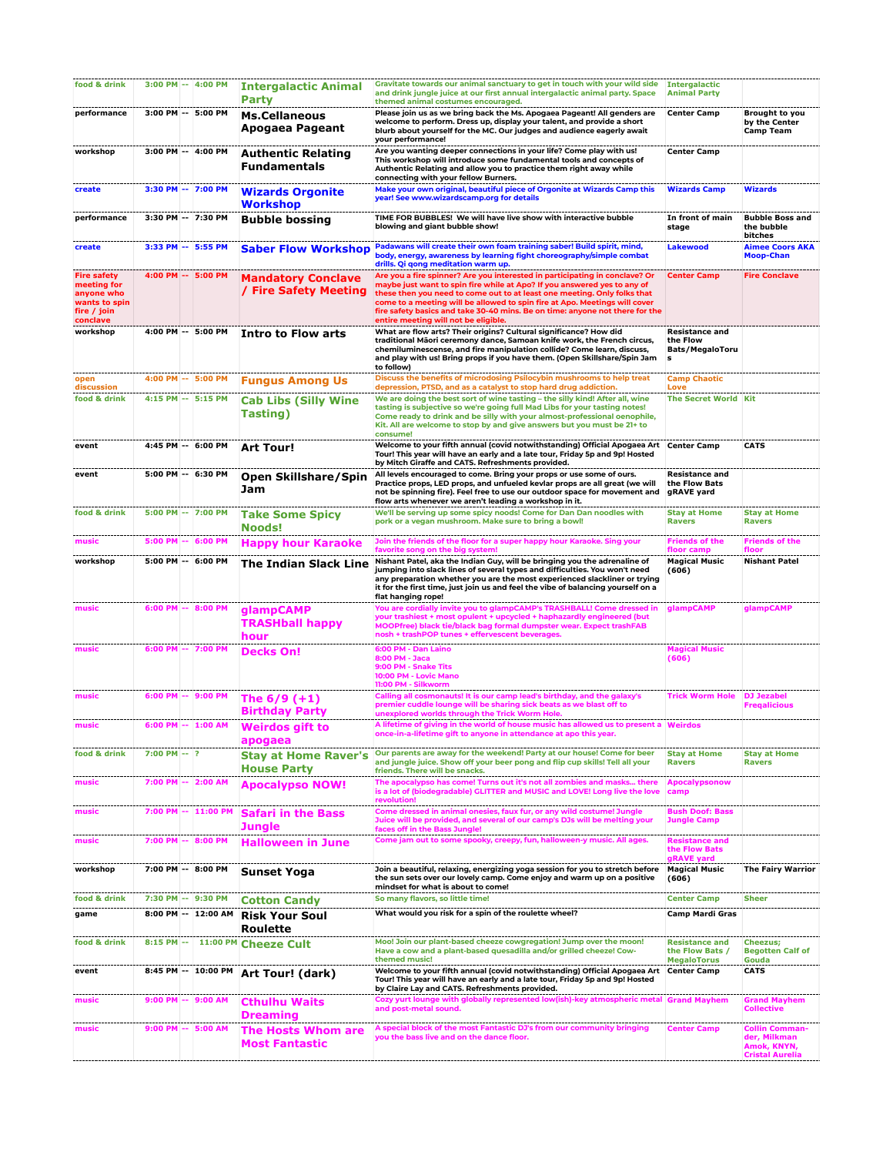| food & drink                                                                                |                | 3:00 PM -- 4:00 PM                        | <b>Intergalactic Animal</b><br>Party               | Gravitate towards our animal sanctuary to get in touch with your wild side<br>and drink jungle juice at our first annual intergalactic animal party. Space<br>themed animal costumes encouraged.                                                                                                                                                                                                                                          | <b>Intergalactic</b><br><b>Animal Party</b>                 |                                                                                |
|---------------------------------------------------------------------------------------------|----------------|-------------------------------------------|----------------------------------------------------|-------------------------------------------------------------------------------------------------------------------------------------------------------------------------------------------------------------------------------------------------------------------------------------------------------------------------------------------------------------------------------------------------------------------------------------------|-------------------------------------------------------------|--------------------------------------------------------------------------------|
| performance                                                                                 |                | 3:00 PM -- 5:00 PM                        | <b>Ms.Cellaneous</b><br>Apogaea Pageant            | Please join us as we bring back the Ms. Apogaea Pageant! All genders are<br>welcome to perform. Dress up, display your talent, and provide a short<br>blurb about yourself for the MC. Our judges and audience eagerly await<br>your performance!                                                                                                                                                                                         | <b>Center Camp</b>                                          | Brought to you<br>by the Center<br><b>Camp Team</b>                            |
| workshop                                                                                    |                | 3:00 PM -- 4:00 PM                        | <b>Authentic Relating</b><br>Fundamentals          | Are you wanting deeper connections in your life? Come play with us!<br>This workshop will introduce some fundamental tools and concepts of<br>Authentic Relating and allow you to practice them right away while<br>connecting with your fellow Burners.                                                                                                                                                                                  | <b>Center Camp</b>                                          |                                                                                |
| create                                                                                      |                | 3:30 PM -- 7:00 PM                        | <b>Wizards Orgonite</b><br><b>Workshop</b>         | Make your own original, beautiful piece of Orgonite at Wizards Camp this<br>year! See www.wizardscamp.org for details                                                                                                                                                                                                                                                                                                                     | <b>Wizards Camp</b>                                         | <b>Wizards</b>                                                                 |
| performance                                                                                 |                | 3:30 PM -- 7:30 PM                        | <b>Bubble bossing</b>                              | TIME FOR BUBBLES! We will have live show with interactive bubble<br>blowing and giant bubble show!                                                                                                                                                                                                                                                                                                                                        | In front of main<br>stage                                   | <b>Bubble Boss and</b><br>the bubble<br>bitches                                |
| create                                                                                      |                | 3:33 PM -- 5:55 PM                        | <b>Saber Flow Workshop</b>                         | Padawans will create their own foam training saber! Build spirit, mind,<br>body, energy, awareness by learning fight choreography/simple combat<br>drills. Qi qong meditation warm up.                                                                                                                                                                                                                                                    | <b>Lakewood</b>                                             | <b>Aimee Coors AKA</b><br><b>Moop-Chan</b>                                     |
| <b>Fire safety</b><br>meeting for<br>anyone who<br>wants to spin<br>fire / join<br>conclave |                | 4:00 PM -- 5:00 PM                        | <b>Mandatory Conclave</b><br>/ Fire Safety Meeting | Are you a fire spinner? Are you interested in participating in conclave? Or<br>maybe just want to spin fire while at Apo? If you answered yes to any of<br>these then you need to come out to at least one meeting. Only folks that<br>come to a meeting will be allowed to spin fire at Apo. Meetings will cover<br>fire safety basics and take 30-40 mins. Be on time: anyone not there for the<br>entire meeting will not be eligible. | <b>Center Camp</b>                                          | <b>Fire Conclave</b>                                                           |
| workshop                                                                                    |                | 4:00 PM -- 5:00 PM                        | <b>Intro to Flow arts</b>                          | What are flow arts? Their origins? Cultural significance? How did<br>traditional Māori ceremony dance, Samoan knife work, the French circus,<br>chemiluminescense, and fire manipulation collide? Come learn, discuss,<br>and play with us! Bring props if you have them. (Open Skillshare/Spin Jam<br>to follow)                                                                                                                         | <b>Resistance and</b><br>the Flow<br>Bats/MegaloToru<br>s   |                                                                                |
| open<br>discussion                                                                          |                | 4:00 PM -- 5:00 PM                        | <b>Fungus Among Us</b>                             | Discuss the benefits of microdosing Psilocybin mushrooms to help treat<br>depression, PTSD, and as a catalyst to stop hard drug addiction.                                                                                                                                                                                                                                                                                                | <b>Camp Chaotic</b><br>Love                                 |                                                                                |
| food & drink                                                                                |                | 4:15 PM -- 5:15 PM                        | <b>Cab Libs (Silly Wine</b><br>Tasting)            | We are doing the best sort of wine tasting - the silly kind! After all, wine<br>tasting is subjective so we're going full Mad Libs for your tasting notes!<br>Come ready to drink and be silly with your almost-professional oenophile,<br>Kit. All are welcome to stop by and give answers but you must be 21+ to<br>consume!                                                                                                            | <b>The Secret World Kit</b>                                 |                                                                                |
| event                                                                                       |                | 4:45 PM -- 6:00 PM                        | <b>Art Tour!</b>                                   | Welcome to your fifth annual (covid notwithstanding) Official Apogaea Art Center Camp<br>Tour! This year will have an early and a late tour, Friday 5p and 9p! Hosted<br>by Mitch Giraffe and CATS. Refreshments provided.                                                                                                                                                                                                                |                                                             | <b>CATS</b>                                                                    |
| event                                                                                       |                | 5:00 PM -- 6:30 PM                        | Open Skillshare/Spin<br>Jam                        | All levels encouraged to come. Bring your props or use some of ours.<br>Practice props, LED props, and unfueled kevlar props are all great (we will<br>not be spinning fire). Feel free to use our outdoor space for movement and<br>flow arts whenever we aren't leading a workshop in it.                                                                                                                                               | <b>Resistance and</b><br>the Flow Bats<br>gRAVE yard        |                                                                                |
| food & drink                                                                                |                | 5:00 PM -- 7:00 PM                        | <b>Take Some Spicy</b><br>Noods!                   | We'll be serving up some spicy noods! Come for Dan Dan noodles with<br>pork or a vegan mushroom. Make sure to bring a bow!!                                                                                                                                                                                                                                                                                                               | <b>Stay at Home</b><br><b>Ravers</b>                        | <b>Stay at Home</b><br><b>Ravers</b>                                           |
| music                                                                                       |                | 5:00 PM -- 6:00 PM                        | <b>Happy hour Karaoke</b>                          | Join the friends of the floor for a super happy hour Karaoke. Sing your<br>favorite song on the big system!                                                                                                                                                                                                                                                                                                                               | <b>Friends of the</b><br>floor camp                         | <b>Friends of the</b><br>floor                                                 |
| workshop                                                                                    |                | 5:00 PM -- 6:00 PM                        | <b>The Indian Slack Line</b>                       | Nishant Patel, aka the Indian Guy, will be bringing you the adrenaline of<br>jumping into slack lines of several types and difficulties. You won't need<br>any preparation whether you are the most experienced slackliner or trying<br>it for the first time, just join us and feel the vibe of balancing yourself on a<br>flat hanging rope!                                                                                            | <b>Magical Music</b><br>(606)                               | <b>Nishant Patel</b>                                                           |
| music                                                                                       |                | 6:00 PM -- 8:00 PM                        | glampCAMP<br><b>TRASHball happy</b><br>hour        | You are cordially invite you to glampCAMP's TRASHBALL! Come dressed in<br>your trashiest + most opulent + upcycled + haphazardly engineered (but<br>MOOPfree) black tie/black bag formal dumpster wear. Expect trashFAB<br>nosh + trashPOP tunes + effervescent beverages.                                                                                                                                                                | glampCAMP                                                   | glampCAMP                                                                      |
| music                                                                                       |                | 6:00 PM -- 7:00 PM                        | <b>Decks On!</b>                                   | 6:00 PM - Dan Laino<br>8:00 PM - Jaca<br>9:00 PM - Snake Tits<br>10:00 PM - Lovic Mano<br>11:00 PM - Silkworm                                                                                                                                                                                                                                                                                                                             | <b>Magical Music</b><br>(606)                               |                                                                                |
| music                                                                                       |                | 6:00 PM -- 9:00 PM                        | The $6/9$ $(+1)$<br><b>Birthday Party</b>          | Calling all cosmonauts! It is our camp lead's birthday, and the galaxy's<br>premier cuddle lounge will be sharing sick beats as we blast off to<br>unexplored worlds through the Trick Worm Hole.                                                                                                                                                                                                                                         | Trick Worm Hole                                             | <b>DJ</b> Jezabel<br><b>Fregalicious</b>                                       |
| music                                                                                       |                | 6:00 PM -- 1:00 AM                        | <b>Weirdos aift to</b><br>apogaea                  | A lifetime of giving in the world of house music has allowed us to present a Weirdos<br>once-in-a-lifetime gift to anyone in attendance at apo this year.                                                                                                                                                                                                                                                                                 |                                                             |                                                                                |
| food & drink                                                                                | $7:00$ PM -- ? |                                           | <b>Stay at Home Raver's</b><br><b>House Party</b>  | Our parents are away for the weekend! Party at our house! Come for beer<br>and jungle juice. Show off your beer pong and flip cup skills! Tell all your<br>friends. There will be snacks.                                                                                                                                                                                                                                                 | <b>Stay at Home</b><br><b>Ravers</b>                        | <b>Stay at Home</b><br><b>Ravers</b>                                           |
| music                                                                                       |                | 7:00 PM -- 2:00 AM                        | <b>Apocalypso NOW!</b>                             | The apocalypso has come! Turns out it's not all zombies and masks there<br>is a lot of (biodegradable) GLITTER and MUSIC and LOVE! Long live the love<br>revolution!                                                                                                                                                                                                                                                                      | <b>Apocalypsonow</b><br>camp                                |                                                                                |
| music                                                                                       |                | 7:00 PM -- 11:00 PM                       | <b>Safari in the Bass</b><br><b>Jungle</b>         | Come dressed in animal onesies, faux fur, or any wild costume! Jungle<br>Juice will be provided, and several of our camp's DJs will be melting your<br>faces off in the Bass Jungle!                                                                                                                                                                                                                                                      | <b>Bush Doof: Bass</b><br><b>Jungle Camp</b>                |                                                                                |
| music                                                                                       |                | 7:00 PM -- 8:00 PM                        | <b>Halloween in June</b>                           | Come jam out to some spooky, creepy, fun, halloween-y music. All ages.                                                                                                                                                                                                                                                                                                                                                                    | <b>Resistance and</b><br>the Flow Bats<br>gRAVE yard        |                                                                                |
| workshop                                                                                    |                | 7:00 PM -- 8:00 PM                        | <b>Sunset Yoga</b>                                 | Join a beautiful, relaxing, energizing yoga session for you to stretch before<br>the sun sets over our lovely camp. Come enjoy and warm up on a positive<br>mindset for what is about to come!                                                                                                                                                                                                                                            | <b>Magical Music</b><br>(606)                               | <b>The Fairy Warrior</b>                                                       |
| food & drink<br>game                                                                        |                | 7:30 PM -- 9:30 PM<br>8:00 PM -- 12:00 AM | <b>Cotton Candy</b>                                | So many flavors, so little time!<br>What would you risk for a spin of the roulette wheel?                                                                                                                                                                                                                                                                                                                                                 | <b>Center Camp</b><br>Camp Mardi Gras                       | <b>Sheer</b>                                                                   |
| food & drink                                                                                | $8:15$ PM $-$  | 11:00 PM                                  | <b>Risk Your Soul</b><br>Roulette                  | Moo! Join our plant-based cheeze cowgregation! Jump over the moon!                                                                                                                                                                                                                                                                                                                                                                        | <b>Resistance and</b>                                       | <b>Cheezus;</b>                                                                |
| event                                                                                       |                | 8:45 PM -- 10:00 PM                       | <b>Cheeze Cult</b>                                 | Have a cow and a plant-based quesadilla and/or grilled cheeze! Cow-<br>themed music!<br>Welcome to your fifth annual (covid notwithstanding) Official Apogaea Art                                                                                                                                                                                                                                                                         | the Flow Bats /<br><b>MegaloTorus</b><br><b>Center Camp</b> | <b>Begotten Calf of</b><br>Gouda<br><b>CATS</b>                                |
|                                                                                             |                |                                           | Art Tour! (dark)                                   | Tour! This year will have an early and a late tour, Friday 5p and 9p! Hosted<br>by Claire Lay and CATS. Refreshments provided.                                                                                                                                                                                                                                                                                                            |                                                             |                                                                                |
| music                                                                                       |                | 9:00 PM -- 9:00 AM                        | <b>Cthulhu Waits</b><br>Dreaming                   | Cozy yurt lounge with globally represented low(ish)-key atmospheric metal<br>and post-metal sound.                                                                                                                                                                                                                                                                                                                                        | <b>Grand Mayhem</b>                                         | <b>Grand Mayhem</b><br>Collective                                              |
| music                                                                                       |                | 9:00 PM -- 5:00 AM                        | <b>The Hosts Whom are</b><br><b>Most Fantastic</b> | A special block of the most Fantastic DJ's from our community bringing<br>you the bass live and on the dance floor.                                                                                                                                                                                                                                                                                                                       | <b>Center Camp</b>                                          | <b>Collin Comman-</b><br>der, Milkman<br>Amok, KNYN,<br><b>Cristal Aurelia</b> |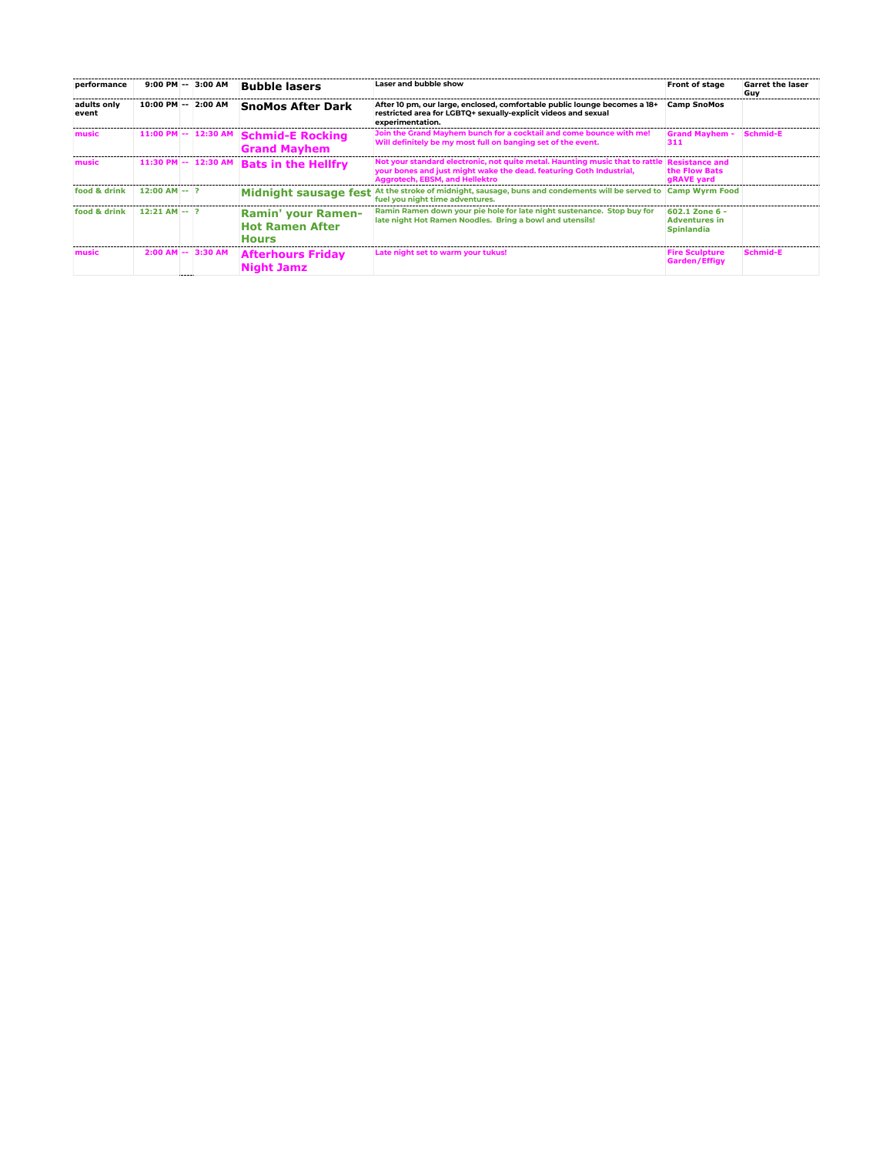| performance          | $9:00$ PM $-$   | 3:00 AM               | <b>Bubble lasers</b>                                         | Laser and bubble show                                                                                                                                                                 | Front of stage                                              | <b>Garret the laser</b><br>Guy |
|----------------------|-----------------|-----------------------|--------------------------------------------------------------|---------------------------------------------------------------------------------------------------------------------------------------------------------------------------------------|-------------------------------------------------------------|--------------------------------|
| adults only<br>event | 10:00 PM --     | 2:00 AM               | <b>SnoMos After Dark</b>                                     | After 10 pm, our large, enclosed, comfortable public lounge becomes a 18+<br>restricted area for LGBTQ+ sexually-explicit videos and sexual<br>experimentation.                       | <b>Camp SnoMos</b>                                          |                                |
| music                | $11:00$ PM $-$  | 12:30 AM              | <b>Schmid-E Rocking</b><br><b>Grand Mayhem</b>               | Join the Grand Mayhem bunch for a cocktail and come bounce with me!<br>Will definitely be my most full on banging set of the event.                                                   | <b>Grand Mayhem -</b><br>311                                | Schmid-E                       |
| music                | $11:30$ PM $-$  | 12:30 AM              | <b>Bats in the Hellfry</b>                                   | Not your standard electronic, not quite metal. Haunting music that to rattle<br>your bones and just might wake the dead. featuring Goth Industrial,<br>Aggrotech, EBSM, and Hellektro | <b>Resistance and</b><br>the Flow Bats<br>gRAVE yard        |                                |
| food & drink         | $12:00$ AM -- 2 |                       | <b>Midnight sausage fest</b>                                 | At the stroke of midnight, sausage, buns and condements will be served to<br>fuel you night time adventures.                                                                          | <b>Camp Wyrm Food</b>                                       |                                |
| food & drink         | $12:21$ AM -- 2 |                       | Ramin' your Ramen-<br><b>Hot Ramen After</b><br><b>Hours</b> | Ramin Ramen down your pie hole for late night sustenance. Stop buy for<br>late night Hot Ramen Noodles. Bring a bowl and utensils!                                                    | 602.1 Zone 6 -<br><b>Adventures in</b><br><b>Spinlandia</b> |                                |
| music                |                 | $2:00$ AM $-$ 3:30 AM | <b>Afterhours Friday</b><br><b>Night Jamz</b>                | Late night set to warm your tukus!                                                                                                                                                    | <b>Fire Sculpture</b><br>Garden/Effigy                      | Schmid-E                       |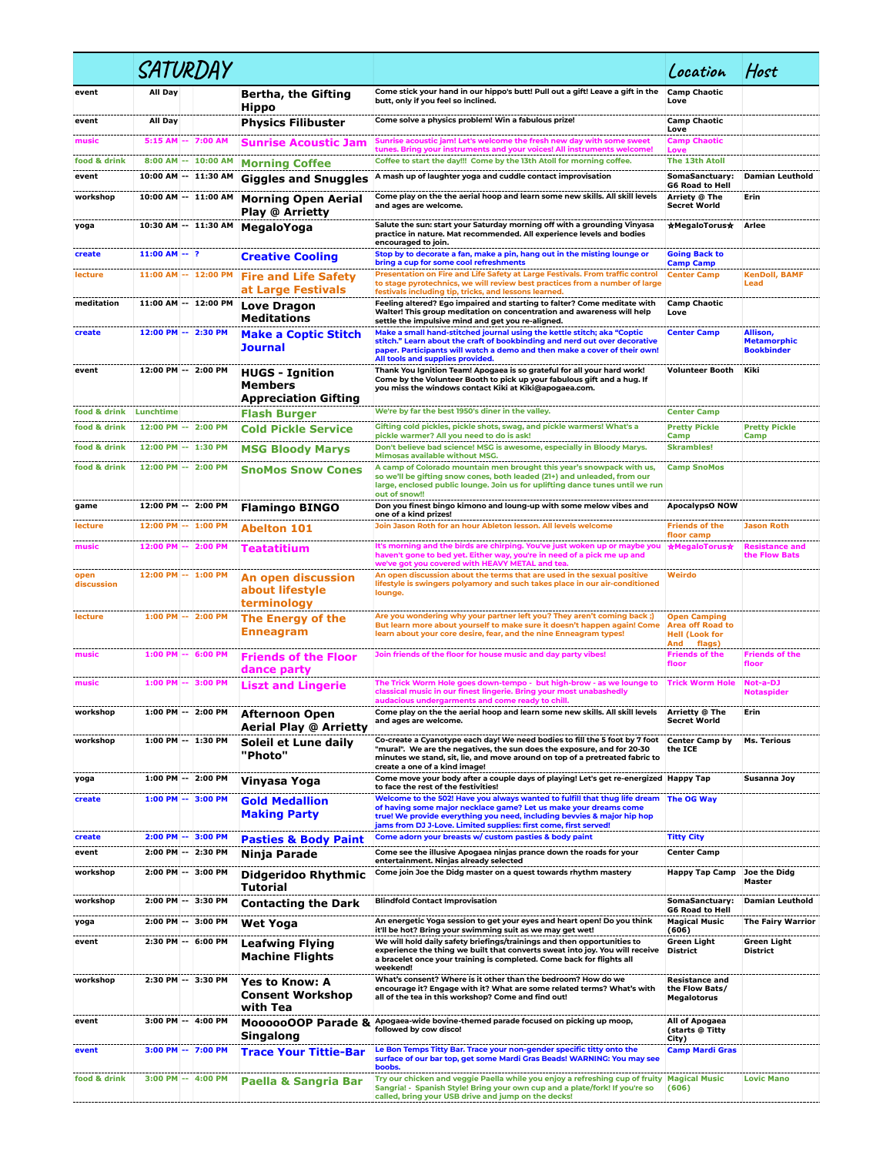|                    |                 | SATURDAY                                 |                                                                  |                                                                                                                                                                                                                                                                                               | Location                                                                                 | Host                                                |
|--------------------|-----------------|------------------------------------------|------------------------------------------------------------------|-----------------------------------------------------------------------------------------------------------------------------------------------------------------------------------------------------------------------------------------------------------------------------------------------|------------------------------------------------------------------------------------------|-----------------------------------------------------|
| event              | All Day         |                                          | Bertha, the Gifting<br><b>Hippo</b>                              | Come stick your hand in our hippo's butt! Pull out a gift! Leave a gift in the<br>butt, only if you feel so inclined.                                                                                                                                                                         | <b>Camp Chaotic</b><br>Love                                                              |                                                     |
| event              | All Day         |                                          | <b>Physics Filibuster</b>                                        | Come solve a physics problem! Win a fabulous prize!                                                                                                                                                                                                                                           | <b>Camp Chaotic</b><br>Love                                                              |                                                     |
| music              | $5:15$ AM $-$   | 7:00 AM                                  | <b>Sunrise Acoustic Jam</b>                                      | Sunrise acoustic jam! Let's welcome the fresh new day with some sweet<br>tunes. Bring your instruments and your voices! All instruments welcome!                                                                                                                                              | <b>Camp Chaotic</b><br>Love                                                              |                                                     |
| food & drink       |                 | 8:00 AM -- 10:00 AM                      | <b>Morning Coffee</b>                                            | Coffee to start the day!!! Come by the 13th Atoll for morning coffee.                                                                                                                                                                                                                         | The 13th Atoll                                                                           |                                                     |
| event              |                 | 10:00 AM -- 11:30 AM                     | <b>Giggles and Snuggles</b>                                      | A mash up of laughter yoga and cuddle contact improvisation                                                                                                                                                                                                                                   | SomaSanctuary:<br><b>G6 Road to Hell</b>                                                 | <b>Damian Leuthold</b>                              |
| workshop           |                 | 10:00 AM -- 11:00 AM                     | <b>Morning Open Aerial</b><br><b>Play @ Arrietty</b>             | Come play on the the aerial hoop and learn some new skills. All skill levels<br>and ages are welcome.                                                                                                                                                                                         | Arriety @ The<br><b>Secret World</b>                                                     | Erin                                                |
| yoga               |                 | 10:30 AM -- 11:30 AM                     | MegaloYoga                                                       | Salute the sun: start your Saturday morning off with a grounding Vinyasa<br>practice in nature. Mat recommended. All experience levels and bodies<br>encouraged to join.                                                                                                                      | ★MegaloTorus★                                                                            | Arlee                                               |
| create             | $11:00$ AM -- ? |                                          | <b>Creative Cooling</b>                                          | Stop by to decorate a fan, make a pin, hang out in the misting lounge or<br>bring a cup for some cool refreshments                                                                                                                                                                            | <b>Going Back to</b><br><b>Camp Camp</b>                                                 |                                                     |
| lecture            |                 | 11:00 AM -- 12:00 PM                     | <b>Fire and Life Safety</b><br>at Large Festivals                | Presentation on Fire and Life Safety at Large Festivals. From traffic control<br>to stage pyrotechnics, we will review best practices from a number of large<br>festivals including tip, tricks, and lessons learned.                                                                         | <b>Center Camp</b>                                                                       | <b>KenDoll, BAMF</b><br>Lead                        |
| meditation         |                 | 11:00 AM -- 12:00 PM                     | Love Dragon<br><b>Meditations</b>                                | Feeling altered? Ego impaired and starting to falter? Come meditate with<br>Walter! This group meditation on concentration and awareness will help<br>settle the impulsive mind and get you re-aligned.                                                                                       | <b>Camp Chaotic</b><br>Love                                                              |                                                     |
| create             |                 | 12:00 PM -- 2:30 PM                      | <b>Make a Coptic Stitch</b><br><b>Journal</b>                    | Make a small hand-stitched journal using the kettle stitch; aka "Coptic<br>stitch." Learn about the craft of bookbinding and nerd out over decorative<br>paper. Participants will watch a demo and then make a cover of their own!<br>All tools and supplies provided.                        | <b>Center Camp</b>                                                                       | Allison,<br><b>Metamorphic</b><br><b>Bookbinder</b> |
| event              |                 | 12:00 PM -- 2:00 PM                      | <b>HUGS - Ignition</b><br>Members<br><b>Appreciation Gifting</b> | Thank You Ignition Team! Apogaea is so grateful for all your hard work!<br>Come by the Volunteer Booth to pick up your fabulous gift and a hug. If<br>you miss the windows contact Kiki at Kiki@apogaea.com.                                                                                  | <b>Volunteer Booth</b>                                                                   | Kiki                                                |
| food & drink       | Lunchtime       |                                          | <b>Flash Burger</b>                                              | We're by far the best 1950's diner in the valley.                                                                                                                                                                                                                                             | <b>Center Camp</b>                                                                       |                                                     |
| food & drink       |                 | 12:00 PM -- 2:00 PM                      | <b>Cold Pickle Service</b>                                       | Gifting cold pickles, pickle shots, swag, and pickle warmers! What's a<br>pickle warmer? All you need to do is ask!                                                                                                                                                                           | <b>Pretty Pickle</b><br>Camp                                                             | <b>Pretty Pickle</b><br>Camp                        |
| food & drink       |                 | 12:00 PM -- 1:30 PM                      | <b>MSG Bloody Marys</b>                                          | Don't believe bad science! MSG is awesome, especially in Bloody Marys.<br>Mimosas available without MSG.                                                                                                                                                                                      | <b>Skrambles!</b>                                                                        |                                                     |
| food & drink       |                 | 12:00 PM -- 2:00 PM                      | <b>SnoMos Snow Cones</b>                                         | A camp of Colorado mountain men brought this year's snowpack with us,<br>so we'll be gifting snow cones, both leaded (21+) and unleaded, from our<br>large, enclosed public lounge. Join us for uplifting dance tunes until we run<br>out of snow!!                                           | <b>Camp SnoMos</b>                                                                       |                                                     |
| game               |                 | 12:00 PM -- 2:00 PM                      | <b>Flamingo BINGO</b>                                            | Don you finest bingo kimono and loung-up with some melow vibes and<br>one of a kind prizes!                                                                                                                                                                                                   | <b>ApocalypsO NOW</b>                                                                    |                                                     |
| lecture            |                 | 12:00 PM -- 1:00 PM                      | <b>Abelton 101</b>                                               | Join Jason Roth for an hour Ableton lesson. All levels welcome                                                                                                                                                                                                                                | <b>Friends of the</b><br>floor camp                                                      | <b>Jason Roth</b>                                   |
| music              |                 | 12:00 PM -- 2:00 PM                      | <b>Teatatitium</b>                                               | It's morning and the birds are chirping. You've just woken up or maybe you<br>haven't gone to bed yet. Either way, you're in need of a pick me up and<br>we've got you covered with HEAVY METAL and tea.                                                                                      | ★MegaloTorus★                                                                            | <b>Resistance and</b><br>the Flow Bats              |
| open<br>discussion |                 | 12:00 PM -- 1:00 PM                      | <b>An open discussion</b><br>about lifestyle<br>terminology      | An open discussion about the terms that are used in the sexual positive<br>lifestyle is swingers polyamory and such takes place in our air-conditioned<br>lounge.                                                                                                                             | Weirdo                                                                                   |                                                     |
| lecture            |                 | 1:00 PM -- 2:00 PM                       | The Energy of the<br>Enneagram                                   | Are you wondering why your partner left you? They aren't coming back ;)<br>But learn more about yourself to make sure it doesn't happen again! Come<br>learn about your core desire, fear, and the nine Enneagram types!                                                                      | <b>Open Camping</b><br><b>Area off Road to</b><br><b>Hell (Look for</b><br>And<br>flags) |                                                     |
| music              |                 | 1:00 PM -- 6:00 PM                       | <b>Friends of the Floor</b><br>dance party                       | Join friends of the floor for house music and day party vibes!                                                                                                                                                                                                                                | <b>Friends of the</b><br>floor                                                           | <b>Friends of the</b><br>floor                      |
| music              |                 | $1:00$ PM $-$ 3:00 PM                    | <b>Liszt and Lingerie</b>                                        | The Trick Worm Hole goes down-tempo - but high-brow - as we lounge to<br>classical music in our finest lingerie. Bring your most unabashedly<br>audacious undergarments and come ready to chill.                                                                                              | <b>Trick Worm Hole</b>                                                                   | Not-a-DJ<br>Notaspider                              |
| workshop           |                 | 1:00 PM -- 2:00 PM                       | <b>Afternoon Open</b><br><b>Aerial Play @ Arrietty</b>           | Come play on the the aerial hoop and learn some new skills. All skill levels<br>and ages are welcome.                                                                                                                                                                                         | Arrietty @ The<br><b>Secret World</b>                                                    | Erin                                                |
| workshop           |                 | 1:00 PM -- 1:30 PM                       | Soleil et Lune daily<br>"Photo"                                  | Co-create a Cyanotype each day! We need bodies to fill the 5 foot by 7 foot<br>"mural". We are the negatives, the sun does the exposure, and for 20-30<br>minutes we stand, sit, lie, and move around on top of a pretreated fabric to<br>create a one of a kind image!                       | <b>Center Camp by</b><br>the ICE                                                         | <b>Ms. Terious</b>                                  |
| yoga               |                 | 1:00 PM -- 2:00 PM                       | Vinyasa Yoga                                                     | Come move your body after a couple days of playing! Let's get re-energized Happy Tap<br>to face the rest of the festivities!                                                                                                                                                                  |                                                                                          | Susanna Joy                                         |
| create             |                 | 1:00 PM -- 3:00 PM                       | <b>Gold Medallion</b><br><b>Making Party</b>                     | Welcome to the 502! Have you always wanted to fulfill that thug life dream<br>of having some major necklace game? Let us make your dreams come<br>true! We provide everything you need, including bevvies & major hip hop<br>jams from DJ J-Love. Limited supplies: first come, first served! | <b>The OG Way</b>                                                                        |                                                     |
| create             |                 | 2:00 PM -- 3:00 PM<br>2:00 PM -- 2:30 PM | <b>Pasties &amp; Body Paint</b>                                  | Come adorn your breasts w/ custom pasties & body paint<br>Come see the illusive Apogaea ninjas prance down the roads for your                                                                                                                                                                 | <b>Titty City</b><br><b>Center Camp</b>                                                  |                                                     |
| event<br>workshop  |                 | 2:00 PM -- 3:00 PM                       | Ninja Parade                                                     | entertainment. Ninjas already selected<br>Come join Joe the Didg master on a quest towards rhythm mastery                                                                                                                                                                                     |                                                                                          | Joe the Didg                                        |
|                    |                 |                                          | <b>Didgeridoo Rhythmic</b><br><b>Tutorial</b>                    |                                                                                                                                                                                                                                                                                               | Happy Tap Camp                                                                           | Master                                              |
| workshop           |                 | 2:00 PM -- 3:30 PM                       | <b>Contacting the Dark</b>                                       | <b>Blindfold Contact Improvisation</b>                                                                                                                                                                                                                                                        | SomaSanctuary:<br><b>G6 Road to Hell</b>                                                 | <b>Damian Leuthold</b>                              |
| yoga               |                 | 2:00 PM -- 3:00 PM                       | Wet Yoga                                                         | An energetic Yoga session to get your eyes and heart open! Do you think<br>it'll be hot? Bring your swimming suit as we may get wet!                                                                                                                                                          | <b>Magical Music</b><br>(606)                                                            | <b>The Fairy Warrior</b>                            |
| event              |                 | 2:30 PM -- 6:00 PM                       | <b>Leafwing Flying</b><br>Machine Flights                        | We will hold daily safety briefings/trainings and then opportunities to<br>experience the thing we built that converts sweat into joy. You will receive<br>a bracelet once your training is completed. Come back for flights all<br>weekend!                                                  | Green Light<br><b>District</b>                                                           | <b>Green Light</b><br>District                      |
| workshop           |                 | 2:30 PM -- 3:30 PM                       | <b>Yes to Know: A</b><br><b>Consent Workshop</b><br>with Tea     | What's consent? Where is it other than the bedroom? How do we<br>encourage it? Engage with it? What are some related terms? What's with<br>all of the tea in this workshop? Come and find out!                                                                                                | Resistance and<br>the Flow Bats/<br>Megalotorus                                          |                                                     |
| event              |                 | 3:00 PM -- 4:00 PM                       | MoooooOOP Parade &<br><b>Singalong</b>                           | Apogaea-wide bovine-themed parade focused on picking up moop,<br>followed by cow disco!                                                                                                                                                                                                       | All of Apogaea<br>(starts @ Titty<br>City)                                               |                                                     |
| event              |                 | 3:00 PM -- 7:00 PM                       | <b>Trace Your Tittie-Bar</b>                                     | Le Bon Temps Titty Bar. Trace your non-gender specific titty onto the<br>surface of our bar top, get some Mardi Gras Beads! WARNING: You may see<br>boobs.                                                                                                                                    | <b>Camp Mardi Gras</b>                                                                   |                                                     |
| food & drink       |                 | 3:00 PM -- 4:00 PM                       | Paella & Sangria Bar                                             | Try our chicken and veggie Paella while you enjoy a refreshing cup of fruity<br>Sangria! - Spanish Style! Bring your own cup and a plate/fork! If you're so<br>called, bring your USB drive and jump on the decks!                                                                            | <b>Magical Music</b><br>(606)                                                            | <b>Lovic Mano</b>                                   |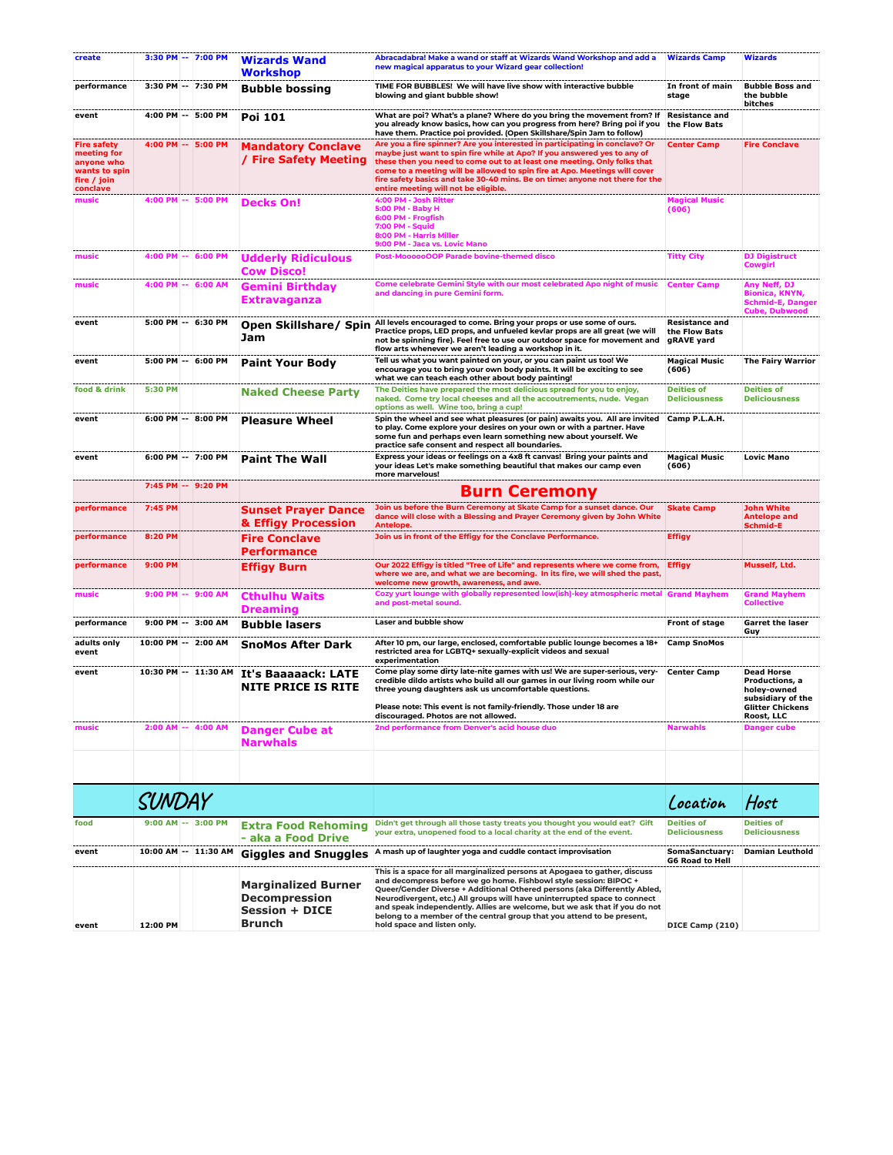| create                                                                                      | 3:30 PM -- 7:00 PM    | <b>Wizards Wand</b><br><b>Workshop</b>                                                | Abracadabra! Make a wand or staff at Wizards Wand Workshop and add a<br>new magical apparatus to your Wizard gear collection!                                                                                                                                                                                                                                                                                                                                                                    | <b>Wizards Camp</b>                           | Wizards                                                                                                          |
|---------------------------------------------------------------------------------------------|-----------------------|---------------------------------------------------------------------------------------|--------------------------------------------------------------------------------------------------------------------------------------------------------------------------------------------------------------------------------------------------------------------------------------------------------------------------------------------------------------------------------------------------------------------------------------------------------------------------------------------------|-----------------------------------------------|------------------------------------------------------------------------------------------------------------------|
| performance                                                                                 | 3:30 PM -- 7:30 PM    | <b>Bubble bossing</b>                                                                 | TIME FOR BUBBLES! We will have live show with interactive bubble<br>blowing and giant bubble show!                                                                                                                                                                                                                                                                                                                                                                                               | In front of main<br>stage                     | <b>Bubble Boss and</b><br>the bubble<br>bitches                                                                  |
| event                                                                                       | 4:00 PM -- 5:00 PM    | Poi 101                                                                               | What are poi? What's a plane? Where do you bring the movement from? If<br>you already know basics, how can you progress from here? Bring poi if you<br>have them. Practice poi provided. (Open Skillshare/Spin Jam to follow)                                                                                                                                                                                                                                                                    | <b>Resistance and</b><br>the Flow Bats        |                                                                                                                  |
| <b>Fire safety</b><br>meeting for<br>anyone who<br>wants to spin<br>fire / join<br>conclave | 4:00 PM -- 5:00 PM    | <b>Mandatory Conclave</b><br>/ Fire Safety Meeting                                    | Are you a fire spinner? Are you interested in participating in conclave? Or<br>maybe just want to spin fire while at Apo? If you answered yes to any of<br>these then you need to come out to at least one meeting. Only folks that<br>come to a meeting will be allowed to spin fire at Apo. Meetings will cover<br>fire safety basics and take 30-40 mins. Be on time: anyone not there for the<br>entire meeting will not be eligible.                                                        | <b>Center Camp</b>                            | <b>Fire Conclave</b>                                                                                             |
| music                                                                                       | 4:00 PM -- 5:00 PM    | <b>Decks On!</b>                                                                      | 4:00 PM - Josh Ritter<br>5:00 PM - Baby H<br>6:00 PM - Frogfish<br>7:00 PM - Squid<br>8:00 PM - Harris Miller<br>9:00 PM - Jaca vs. Lovic Mano                                                                                                                                                                                                                                                                                                                                                   | <b>Magical Music</b><br>(606)                 |                                                                                                                  |
| music                                                                                       | 4:00 PM -- 6:00 PM    | <b>Udderly Ridiculous</b><br><b>Cow Disco!</b>                                        | Post-MoooooOOP Parade bovine-themed disco                                                                                                                                                                                                                                                                                                                                                                                                                                                        | <b>Titty City</b>                             | <b>DJ Digistruct</b><br>Cowgirl                                                                                  |
| music                                                                                       | 4:00 PM -- 6:00 AM    | Gemini Birthday<br><b>Extravaganza</b>                                                | Come celebrate Gemini Style with our most celebrated Apo night of music<br>and dancing in pure Gemini form.                                                                                                                                                                                                                                                                                                                                                                                      | <b>Center Camp</b>                            | Any Neff, DJ<br><b>Bionica, KNYN,</b><br><b>Schmid-E, Danger</b><br><b>Cube, Dubwood</b>                         |
| event                                                                                       | 5:00 PM -- 6:30 PM    | Jam                                                                                   | Open Skillshare/ Spin All levels encouraged to come. Bring your props or use some of ours.<br>Practice props, LED props, and unfueled kevlar props are all great (we will<br>not be spinning fire). Feel free to use our outdoor space for movement and<br>flow arts whenever we aren't leading a workshop in it.                                                                                                                                                                                | Resistance and<br>the Flow Bats<br>gRAVE yard |                                                                                                                  |
| event                                                                                       | 5:00 PM -- 6:00 PM    | <b>Paint Your Body</b>                                                                | Tell us what you want painted on your, or you can paint us too! We<br>encourage you to bring your own body paints. It will be exciting to see<br>what we can teach each other about body painting!                                                                                                                                                                                                                                                                                               | <b>Magical Music</b><br>(606)                 | <b>The Fairy Warrior</b>                                                                                         |
| food & drink                                                                                | 5:30 PM               | <b>Naked Cheese Party</b>                                                             | The Deities have prepared the most delicious spread for you to enjoy,<br>naked. Come try local cheeses and all the accoutrements, nude. Vegan<br>options as well. Wine too, bring a cup!                                                                                                                                                                                                                                                                                                         | <b>Deities of</b><br><b>Deliciousness</b>     | <b>Deities of</b><br><b>Deliciousness</b>                                                                        |
| event                                                                                       | 6:00 PM -- 8:00 PM    | <b>Pleasure Wheel</b>                                                                 | Spin the wheel and see what pleasures (or pain) awaits you. All are invited<br>to play. Come explore your desires on your own or with a partner. Have<br>some fun and perhaps even learn something new about yourself. We<br>practice safe consent and respect all boundaries.                                                                                                                                                                                                                   | Camp P.L.A.H.                                 |                                                                                                                  |
| event                                                                                       | 6:00 PM -- 7:00 PM    | <b>Paint The Wall</b>                                                                 | Express your ideas or feelings on a 4x8 ft canvas! Bring your paints and<br>your ideas Let's make something beautiful that makes our camp even<br>more marvelous!                                                                                                                                                                                                                                                                                                                                | <b>Magical Music</b><br>(606)                 | <b>Lovic Mano</b>                                                                                                |
|                                                                                             | 7:45 PM -- 9:20 PM    |                                                                                       | <b>Burn Ceremony</b>                                                                                                                                                                                                                                                                                                                                                                                                                                                                             |                                               |                                                                                                                  |
| performance                                                                                 | 7:45 PM               | <b>Sunset Prayer Dance</b><br>& Effigy Procession                                     | Join us before the Burn Ceremony at Skate Camp for a sunset dance. Our<br>dance will close with a Blessing and Prayer Ceremony given by John White<br>Antelope.                                                                                                                                                                                                                                                                                                                                  | <b>Skate Camp</b>                             | <b>John White</b><br><b>Antelope and</b><br>Schmid-E                                                             |
| performance                                                                                 | 8:20 PM               | <b>Fire Conclave</b><br><b>Performance</b>                                            | Join us in front of the Effigy for the Conclave Performance.                                                                                                                                                                                                                                                                                                                                                                                                                                     | <b>Effigy</b>                                 |                                                                                                                  |
| performance                                                                                 | 9:00 PM               | <b>Effigy Burn</b>                                                                    | Our 2022 Effigy is titled "Tree of Life" and represents where we come from,<br>where we are, and what we are becoming. In its fire, we will shed the past,<br>welcome new growth, awareness, and awe.                                                                                                                                                                                                                                                                                            | <b>Effigy</b>                                 | Musself, Ltd.                                                                                                    |
| music                                                                                       | 9:00 PM -- 9:00 AM    | <b>Cthulhu Waits</b><br><b>Dreaming</b>                                               | Cozy yurt lounge with globally represented low(ish)-key atmospheric metal Grand Mayhem<br>and post-metal sound.                                                                                                                                                                                                                                                                                                                                                                                  |                                               | <b>Grand Mayhem</b><br><b>Collective</b>                                                                         |
| performance                                                                                 | 9:00 PM -- 3:00 AM    | <b>Bubble lasers</b>                                                                  | Laser and bubble show                                                                                                                                                                                                                                                                                                                                                                                                                                                                            | Front of stage                                | <b>Garret the laser</b><br>Guy                                                                                   |
| adults only<br>event                                                                        | 10:00 PM -- 2:00 AM   | <b>SnoMos After Dark</b>                                                              | After 10 pm, our large, enclosed, comfortable public lounge becomes a 18+<br>restricted area for LGBTQ+ sexually-explicit videos and sexual<br>experimentation                                                                                                                                                                                                                                                                                                                                   | <b>Camp SnoMos</b>                            |                                                                                                                  |
| event                                                                                       | 10:30 PM -- 11:30 AM  | It's Baaaaack: LATE<br><b>NITE PRICE IS RITE</b>                                      | Come play some dirty late-nite games with us! We are super-serious, very-<br>credible dildo artists who build all our games in our living room while our<br>three young daughters ask us uncomfortable questions.<br>Please note: This event is not family-friendly. Those under 18 are<br>discouraged. Photos are not allowed.                                                                                                                                                                  | <b>Center Camp</b>                            | <b>Dead Horse</b><br>Productions, a<br>holey-owned<br>subsidiary of the<br><b>Glitter Chickens</b><br>Roost, LLC |
| music                                                                                       | 2:00 AM -- 4:00 AM    | <b>Danger Cube at</b><br><b>Narwhals</b>                                              | 2nd performance from Denver's acid house duo                                                                                                                                                                                                                                                                                                                                                                                                                                                     | <b>Narwahls</b>                               | <b>Danger cube</b>                                                                                               |
|                                                                                             |                       |                                                                                       |                                                                                                                                                                                                                                                                                                                                                                                                                                                                                                  |                                               |                                                                                                                  |
|                                                                                             | <b>SUNDAY</b>         |                                                                                       |                                                                                                                                                                                                                                                                                                                                                                                                                                                                                                  | Location                                      | Host                                                                                                             |
| food                                                                                        | $9:00$ AM $-$ 3:00 PM | <b>Extra Food Rehoming</b><br>- aka a Food Drive                                      | Didn't get through all those tasty treats you thought you would eat? Gift<br>your extra, unopened food to a local charity at the end of the event.                                                                                                                                                                                                                                                                                                                                               | <b>Deities of</b><br><b>Deliciousness</b>     | <b>Deities of</b><br><b>Deliciousness</b>                                                                        |
| event                                                                                       | 10:00 AM -- 11:30 AM  | <b>Giggles and Snuggles</b>                                                           | A mash up of laughter yoga and cuddle contact improvisation                                                                                                                                                                                                                                                                                                                                                                                                                                      | SomaSanctuary:<br><b>G6 Road to Hell</b>      | <b>Damian Leuthold</b>                                                                                           |
| event                                                                                       | 12:00 PM              | <b>Marginalized Burner</b><br><b>Decompression</b><br><b>Session + DICE</b><br>Brunch | This is a space for all marginalized persons at Apogaea to gather, discuss<br>and decompress before we go home. Fishbowl style session: BIPOC +<br>Queer/Gender Diverse + Additional Othered persons (aka Differently Abled,<br>Neurodivergent, etc.) All groups will have uninterrupted space to connect<br>and speak independently. Allies are welcome, but we ask that if you do not<br>belong to a member of the central group that you attend to be present,<br>hold space and listen only. | DICE Camp (210)                               |                                                                                                                  |